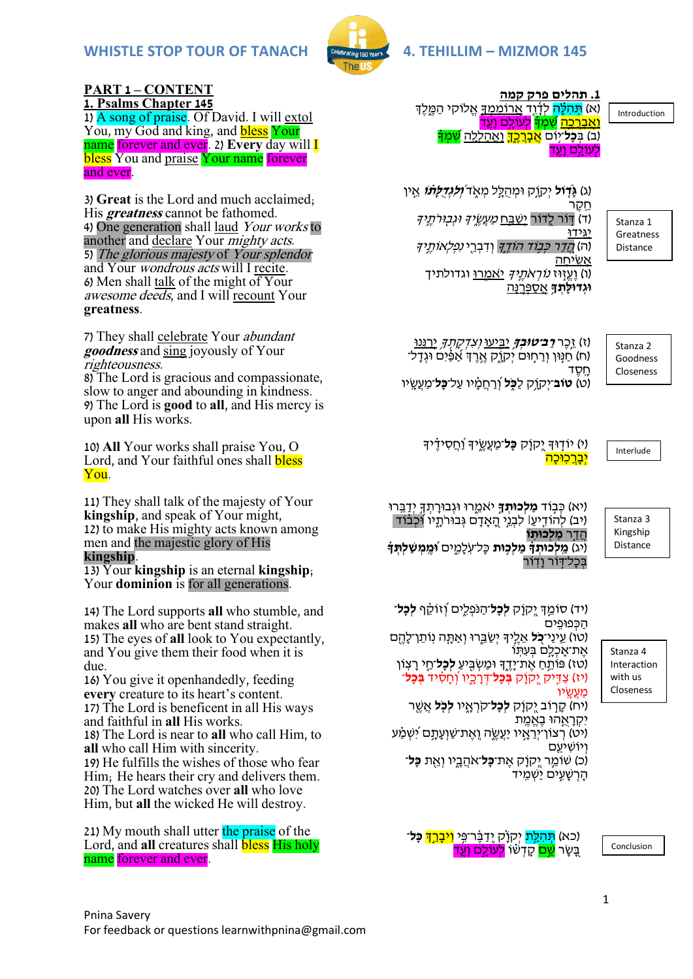

#### **PART 1 – CONTENT 1. Psalms Chapter 145**

1) A song of praise. Of David. I will extol You, my God and king, and **bless Your** name forever and ever. 2) **Every** day will I bless You and praise Your name forever and ever.

3) **Great** is the Lord and much acclaimed; His **greatness** cannot be fathomed. 4) One generation shall laud Your works to another and declare Your *mighty acts*. 5) The glorious majesty of Your splendor and Your wondrous acts will I recite. 6) Men shall talk of the might of Your awesome deeds, and I will recount Your **greatness**.

7) They shall celebrate Your abundant **goodness** and sing joyously of Your righteousness.

8) The Lord is gracious and compassionate, slow to anger and abounding in kindness. 9) The Lord is **good** to **all**, and His mercy is upon **all** His works.

10) **All** Your works shall praise You, O Lord, and Your faithful ones shall **bless** You.

11) They shall talk of the majesty of Your **kingship**, and speak of Your might, 12) to make His mighty acts known among men and the majestic glory of His **kingship**.

13) Your **kingship** is an eternal **kingship**; Your **dominion** is for all generations.

14) The Lord supports **all** who stumble, and makes **all** who are bent stand straight. 15) The eyes of **all** look to You expectantly, and You give them their food when it is due.

16) You give it openhandedly, feeding **every** creature to its heart's content. 17) The Lord is beneficent in all His ways and faithful in **all** His works. 18) The Lord is near to **all** who call Him, to **all** who call Him with sincerity. 19) He fulfills the wishes of those who fear Him; He hears their cry and delivers them. 20) The Lord watches over **all** who love Him, but **all** the wicked He will destroy.

21) My mouth shall utter the praise of the Lord, and **all** creatures shall **bless** His holy name forever and ever.

**.1 תהלים פרק קמה** (א) <mark>תִּהְלָּה</mark> לְדָ֫וֵד <u>אֲרוֹמְמְדָ</u>ּ אֱלוֹקִי הַמֵּלֶד ו<u>אַברכה שָׁמְדָ לְעוֹלֵם וַעֵ</u>ד (ב) בִּ**כָל**־יִּוֹם <mark>אַבָרֵכֵךְ</mark> וַאֲהַל<u>ְלָה <mark>שִׁמְדָ</mark></u> לעולם ועד

Introduction

)ג( **גָָּ֮ ד֤ ֹול** יְקֹו ק ּומְ הֻ ל ל מְ א ֶּ֑ ד **וְְ֝ לִגְ דֻלָת֗ ֹו** א ין חקר

(ד) דְּוֹר לְדוֹר יְ<u>שַׁבְּח *מַעֲשֶׂיֶךָּ וּגְבְוּרֹתְיִ</u>יּךָ*</u> יַגִ ֶֽ ידּו (ה) *הֲדַר כִּבְוֹד הוֹדֶך*ּ וְדִבְרֵי *נִפְלְאוֹתֵיך* <u>אשׂיחה</u> ו) וַעֱזְוּז *נוֹרְאֹחֱיךְ יַ*אמַרוּ וגדולתיך **וגדולָתְדָ** <u>אַסְפְּרְנַה</u>

Stanza 1 Greatness Distance

)ז( ז כֶר **רַ ב־טּובְ ך** יַבִ ֶּ֑ יעּו וְ צִ דְ ק תְ ךִ֥ יְרַ נ ֶֽנּו (ח) חַנְּוּן וְרַחְוּם יִקְוֶק אֱרֶדְּ אַ<sup>ׂ</sup>פַּ֫יִם וּגְדָל־ ח ֶֽ סֶ ד )ט( **טֹוב**־יְקֹו ִ֥ק לַ **כ ֹּ֑ ל** וְִׁ֝ רַ חֲ מ ָּ֗ יו עַ ל־**כָל**־מַ עֲש ֶֽ יו

Stanza 2 Goodness Closeness

Interlude

י) יודוּדְ יֵקוַק **כַּל**־מַעֲשֵׂידְ וַׁחֲסִידֶיךָ יִבְרַכְוּכָה

(יא) כִּבְוֹד **מַלְכּוּתֹדְ** יֹאמֶרוּ וּגְבוּרַתְדְּ יִדַבֵּרוּ (יב) להודִיעו לִבְגֵי הַאָדָם גְבוּרתֶיו וּכְבוד הֲ דַ ר **מַ לְכּותֽ ֹו**  (יג) **מֵלְכוּתְדָ מַלְכוּת** כַּל־עַלְמֵים ו**ּמֵמִשְׁלִתּדִּ** בִּכַל־דְוֹר <u>ו</u>דור

Stanza 3 Kingship Distance

)יד( סֹומ ְך יְְ֭ קֹו ק **לְכָל**־הַ נ פְ לִ ֶּ֑ים וְִׁ֝ זֹוק ָּ֗ ף **לְכָל**־ הַ כְ פּופִ ֶֽ ים (טו) עֵינֵי־**ְכֹל** אֱלֵיךָ יְשַׂבֵּרוּ וְאַתָּה נְוֹתֵן־לָהֶם אֶת־אֲכָלָם בְּעָתָוֹ )טז( פֹות ִ֥ חַ אֶ ת־י דֶ ֶּ֑ך ּומַ שְ בִ ֖ יעַ **לְכָל**־חַ י ר צֶֽ ֹון )יז( צַ דִ יק יְְ֭ קֹו ק **בְ כָל**־דְ ר כ ֶּ֑יו וְִׁ֝ ח סִָּ֗ יד **בְ כָל**־

)יח( ק ר ֹוב יְְ֭ קֹו ק **לְכָל**־ק רְ א ֶּ֑ יו **לְכ ֤ ל** אֲ שֶ ֖ ר

יט) רִצוֹן־יְרֵאֵיו יַעֲשֶׂה וֶאֶת־שַׁוְעַתָּם יִשְׁמַ**ּ**ע (

)כ( שֹומ ר יְְ֭ קֹו ק אֶ ת־**כָל**־א הֲ ב ֶּ֑יו וְ א ֖ ת **כָל**־

Interaction with us Closeness

מַעשׂיו

וְ יֹושִ יע ֶֽם

יקראהוּ באמת

הַרְשָׁעֵים יַשְׁמֵיד

Stanza 4

(כא) <mark>תִּהְלֵת</mark> יִקְוַ֫ק יְדַבֶּ֫ר־פֵּי <mark>וִיבַרֵה</mark> **כָּל**־ ְבַּשֶׂר <mark>שֶׁם</mark> קָדָשׁוֹ <mark>לְעוֹלֵם וַעֵּד</mark>

Conclusion